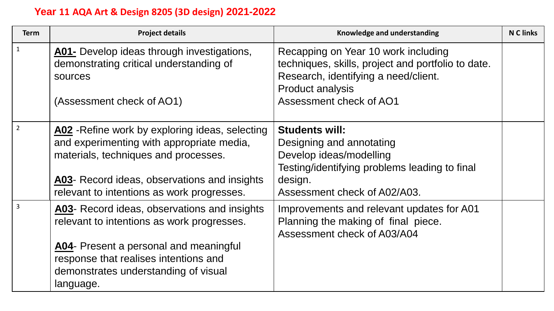## **Year 11 AQA Art & Design 8205 (3D design) 2021-2022**

| <b>Term</b>    | <b>Project details</b>                                                                                                                                                                                                                    | Knowledge and understanding                                                                                                                                                             | <b>N C links</b> |
|----------------|-------------------------------------------------------------------------------------------------------------------------------------------------------------------------------------------------------------------------------------------|-----------------------------------------------------------------------------------------------------------------------------------------------------------------------------------------|------------------|
|                | A01- Develop ideas through investigations,<br>demonstrating critical understanding of<br>sources<br>(Assessment check of AO1)                                                                                                             | Recapping on Year 10 work including<br>techniques, skills, project and portfolio to date.<br>Research, identifying a need/client.<br><b>Product analysis</b><br>Assessment check of AO1 |                  |
| $\overline{2}$ | A02 - Refine work by exploring ideas, selecting<br>and experimenting with appropriate media,<br>materials, techniques and processes.<br>A03- Record ideas, observations and insights<br>relevant to intentions as work progresses.        | <b>Students will:</b><br>Designing and annotating<br>Develop ideas/modelling<br>Testing/identifying problems leading to final<br>design.<br>Assessment check of A02/A03.                |                  |
|                | <b>A03-</b> Record ideas, observations and insights<br>relevant to intentions as work progresses.<br>A04- Present a personal and meaningful<br>response that realises intentions and<br>demonstrates understanding of visual<br>language. | Improvements and relevant updates for A01<br>Planning the making of final piece.<br>Assessment check of A03/A04                                                                         |                  |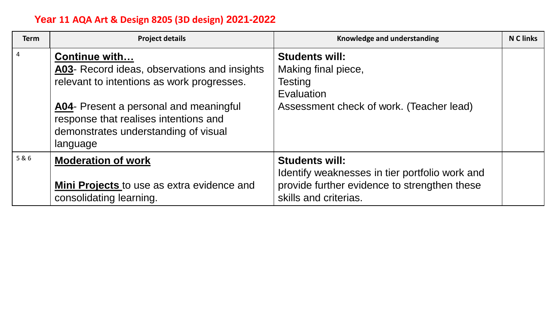## **Year 11 AQA Art & Design 8205 (3D design) 2021-2022**

| <b>Term</b>    | <b>Project details</b>                                                                                                                                                                                                                             | Knowledge and understanding                                                                                                                      | <b>N C links</b> |
|----------------|----------------------------------------------------------------------------------------------------------------------------------------------------------------------------------------------------------------------------------------------------|--------------------------------------------------------------------------------------------------------------------------------------------------|------------------|
| $\overline{4}$ | Continue with<br>A03- Record ideas, observations and insights<br>relevant to intentions as work progresses.<br>A04- Present a personal and meaningful<br>response that realises intentions and<br>demonstrates understanding of visual<br>language | <b>Students will:</b><br>Making final piece,<br>Testing<br>Evaluation<br>Assessment check of work. (Teacher lead)                                |                  |
| 5&6            | <b>Moderation of work</b><br>Mini Projects to use as extra evidence and<br>consolidating learning.                                                                                                                                                 | <b>Students will:</b><br>Identify weaknesses in tier portfolio work and<br>provide further evidence to strengthen these<br>skills and criterias. |                  |